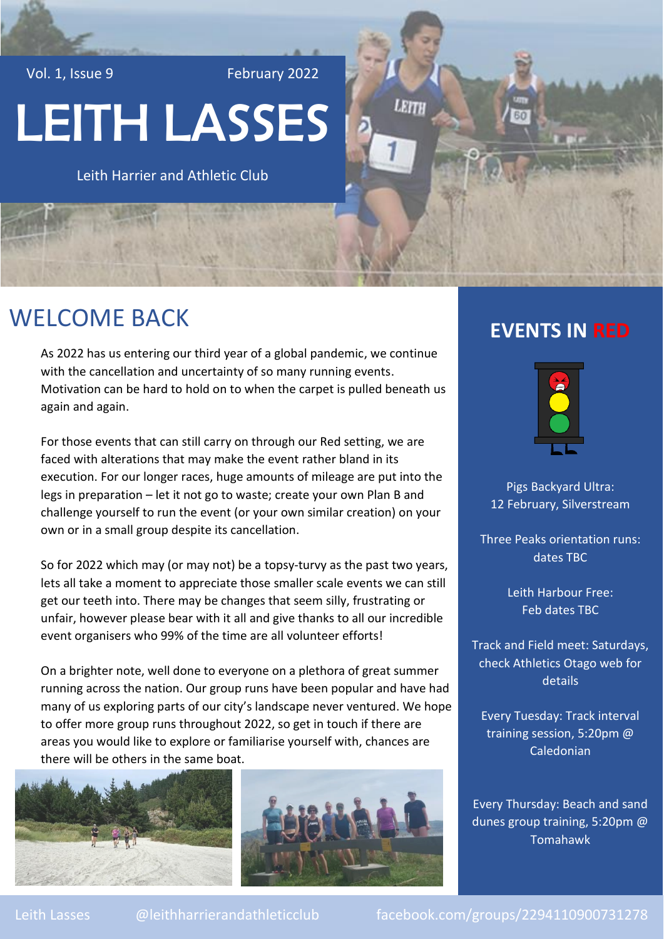Vol. 1, Issue 9 February 2022

# LEITH LASSES

Leith Harrier and Athletic Club

#### WELCOME BACK

As 2022 has us entering our third year of a global pandemic, we continue with the cancellation and uncertainty of so many running events. Motivation can be hard to hold on to when the carpet is pulled beneath us again and again.

For those events that can still carry on through our Red setting, we are faced with alterations that may make the event rather bland in its execution. For our longer races, huge amounts of mileage are put into the legs in preparation – let it not go to waste; create your own Plan B and challenge yourself to run the event (or your own similar creation) on your own or in a small group despite its cancellation.

So for 2022 which may (or may not) be a topsy-turvy as the past two years, lets all take a moment to appreciate those smaller scale events we can still get our teeth into. There may be changes that seem silly, frustrating or unfair, however please bear with it all and give thanks to all our incredible event organisers who 99% of the time are all volunteer efforts!

On a brighter note, well done to everyone on a plethora of great summer running across the nation. Our group runs have been popular and have had many of us exploring parts of our city's landscape never ventured. We hope to offer more group runs throughout 2022, so get in touch if there are areas you would like to explore or familiarise yourself with, chances are there will be others in the same boat.





#### **EVENTS IN RED**

LEITH



Pigs Backyard Ultra: 12 February, Silverstream

Three Peaks orientation runs: dates TBC

> Leith Harbour Free: Feb dates TBC

Track and Field meet: Saturdays, check Athletics Otago web for details

Every Tuesday: Track interval training session, 5:20pm @ Caledonian

Every Thursday: Beach and sand dunes group training, 5:20pm @ Tomahawk

Leith Lasses @leithharrierandathleticclub facebook.com/groups/2294110900731278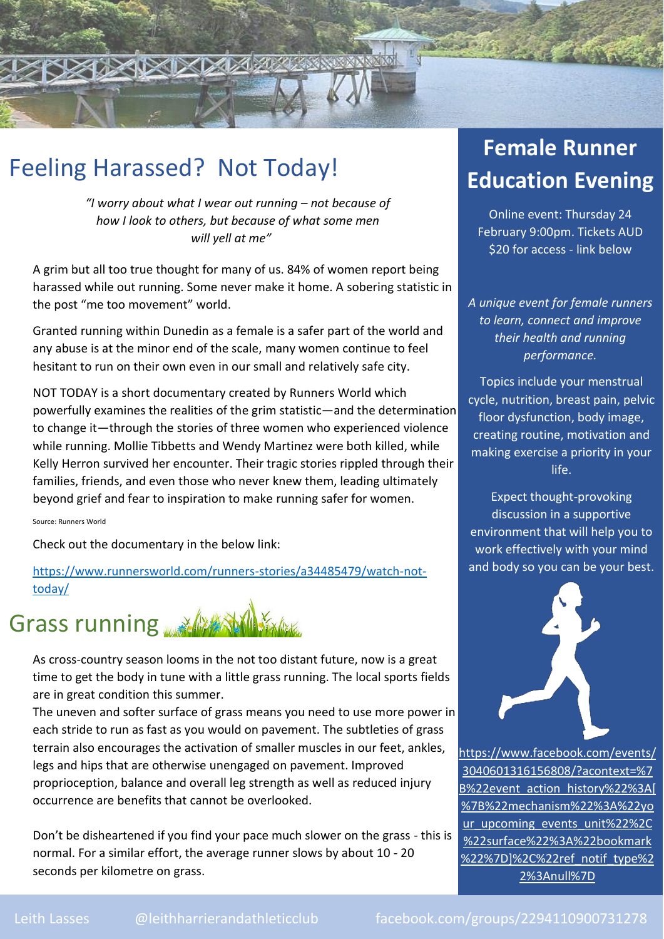## Feeling Harassed? Not Today!

*"I worry about what I wear out running – not because of how I look to others, but because of what some men will yell at me"*

**XIXDAMARKEESSEN** 

A grim but all too true thought for many of us. 84% of women report being harassed while out running. Some never make it home. A sobering statistic in the post "me too movement" world.

Granted running within Dunedin as a female is a safer part of the world and any abuse is at the minor end of the scale, many women continue to feel hesitant to run on their own even in our small and relatively safe city.

NOT TODAY is a short documentary created by Runners World which powerfully examines the realities of the grim statistic—and the determination to change it—through the stories of three women who experienced violence while running. Mollie Tibbetts and Wendy Martinez were both killed, while Kelly Herron survived her encounter. Their tragic stories rippled through their families, friends, and even those who never knew them, leading ultimately beyond grief and fear to inspiration to make running safer for women.

Source: Runners World

Check out the documentary in the below link:

[https://www.runnersworld.com/runners-stories/a34485479/watch-not](https://www.runnersworld.com/runners-stories/a34485479/watch-not-today/)[today/](https://www.runnersworld.com/runners-stories/a34485479/watch-not-today/)

# Grass running

As cross-country season looms in the not too distant future, now is a great time to get the body in tune with a little grass running. The local sports fields are in great condition this summer.

The uneven and softer surface of grass means you need to use more power in each stride to run as fast as you would on pavement. The subtleties of grass terrain also encourages the activation of smaller muscles in our feet, ankles, legs and hips that are otherwise unengaged on pavement. Improved proprioception, balance and overall leg strength as well as reduced injury occurrence are benefits that cannot be overlooked.

Don't be disheartened if you find your pace much slower on the grass - this is normal. For a similar effort, the average runner slows by about 10 - 20 seconds per kilometre on grass.

#### **Female Runner Education Evening**

**REACTION** 

Online event: Thursday 24 February 9:00pm. Tickets AUD \$20 for access - link below

*A unique event for female runners to learn, connect and improve their health and running performance.*

Topics include your menstrual cycle, nutrition, breast pain, pelvic floor dysfunction, body image, creating routine, motivation and making exercise a priority in your life.

Expect thought-provoking discussion in a supportive environment that will help you to work effectively with your mind and body so you can be your best.



[https://www.facebook.com/events/](https://www.facebook.com/events/3040601316156808/?acontext=%7B%22event_action_history%22%3A%5b%7B%22mechanism%22%3A%22your_upcoming_events_unit%22%2C%22surface%22%3A%22bookmark%22%7D%5d%2C%22ref_notif_type%22%3Anull%7D) [3040601316156808/?acontext=%7](https://www.facebook.com/events/3040601316156808/?acontext=%7B%22event_action_history%22%3A%5b%7B%22mechanism%22%3A%22your_upcoming_events_unit%22%2C%22surface%22%3A%22bookmark%22%7D%5d%2C%22ref_notif_type%22%3Anull%7D) [B%22event\\_action\\_history%22%3A\[](https://www.facebook.com/events/3040601316156808/?acontext=%7B%22event_action_history%22%3A%5b%7B%22mechanism%22%3A%22your_upcoming_events_unit%22%2C%22surface%22%3A%22bookmark%22%7D%5d%2C%22ref_notif_type%22%3Anull%7D) [%7B%22mechanism%22%3A%22yo](https://www.facebook.com/events/3040601316156808/?acontext=%7B%22event_action_history%22%3A%5b%7B%22mechanism%22%3A%22your_upcoming_events_unit%22%2C%22surface%22%3A%22bookmark%22%7D%5d%2C%22ref_notif_type%22%3Anull%7D) [ur\\_upcoming\\_events\\_unit%22%2C](https://www.facebook.com/events/3040601316156808/?acontext=%7B%22event_action_history%22%3A%5b%7B%22mechanism%22%3A%22your_upcoming_events_unit%22%2C%22surface%22%3A%22bookmark%22%7D%5d%2C%22ref_notif_type%22%3Anull%7D) [%22surface%22%3A%22bookmark](https://www.facebook.com/events/3040601316156808/?acontext=%7B%22event_action_history%22%3A%5b%7B%22mechanism%22%3A%22your_upcoming_events_unit%22%2C%22surface%22%3A%22bookmark%22%7D%5d%2C%22ref_notif_type%22%3Anull%7D) [%22%7D\]%2C%22ref\\_notif\\_type%2](https://www.facebook.com/events/3040601316156808/?acontext=%7B%22event_action_history%22%3A%5b%7B%22mechanism%22%3A%22your_upcoming_events_unit%22%2C%22surface%22%3A%22bookmark%22%7D%5d%2C%22ref_notif_type%22%3Anull%7D) [2%3Anull%7D](https://www.facebook.com/events/3040601316156808/?acontext=%7B%22event_action_history%22%3A%5b%7B%22mechanism%22%3A%22your_upcoming_events_unit%22%2C%22surface%22%3A%22bookmark%22%7D%5d%2C%22ref_notif_type%22%3Anull%7D)